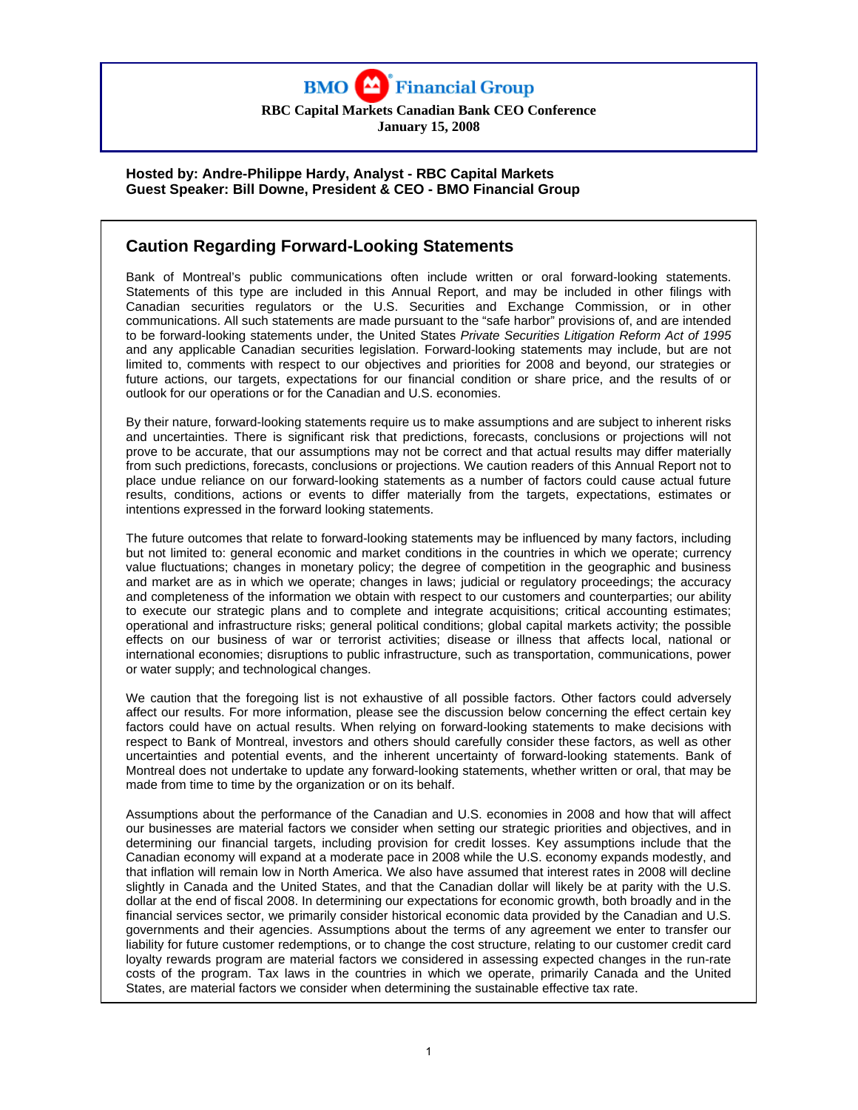

**RBC Capital Markets Canadian Bank CEO Conference January 15, 2008** 

### **Hosted by: Andre-Philippe Hardy, Analyst - RBC Capital Markets Guest Speaker: Bill Downe, President & CEO - BMO Financial Group**

# **Caution Regarding Forward-Looking Statements**

Bank of Montreal's public communications often include written or oral forward-looking statements. Statements of this type are included in this Annual Report, and may be included in other filings with Canadian securities regulators or the U.S. Securities and Exchange Commission, or in other communications. All such statements are made pursuant to the "safe harbor" provisions of, and are intended to be forward-looking statements under, the United States *Private Securities Litigation Reform Act of 1995*  and any applicable Canadian securities legislation. Forward-looking statements may include, but are not limited to, comments with respect to our objectives and priorities for 2008 and beyond, our strategies or future actions, our targets, expectations for our financial condition or share price, and the results of or outlook for our operations or for the Canadian and U.S. economies.

By their nature, forward-looking statements require us to make assumptions and are subject to inherent risks and uncertainties. There is significant risk that predictions, forecasts, conclusions or projections will not prove to be accurate, that our assumptions may not be correct and that actual results may differ materially from such predictions, forecasts, conclusions or projections. We caution readers of this Annual Report not to place undue reliance on our forward-looking statements as a number of factors could cause actual future results, conditions, actions or events to differ materially from the targets, expectations, estimates or intentions expressed in the forward looking statements.

The future outcomes that relate to forward-looking statements may be influenced by many factors, including but not limited to: general economic and market conditions in the countries in which we operate; currency value fluctuations; changes in monetary policy; the degree of competition in the geographic and business and market are as in which we operate; changes in laws; judicial or regulatory proceedings; the accuracy and completeness of the information we obtain with respect to our customers and counterparties; our ability to execute our strategic plans and to complete and integrate acquisitions; critical accounting estimates; operational and infrastructure risks; general political conditions; global capital markets activity; the possible effects on our business of war or terrorist activities; disease or illness that affects local, national or international economies; disruptions to public infrastructure, such as transportation, communications, power or water supply; and technological changes.

We caution that the foregoing list is not exhaustive of all possible factors. Other factors could adversely affect our results. For more information, please see the discussion below concerning the effect certain key factors could have on actual results. When relying on forward-looking statements to make decisions with respect to Bank of Montreal, investors and others should carefully consider these factors, as well as other uncertainties and potential events, and the inherent uncertainty of forward-looking statements. Bank of Montreal does not undertake to update any forward-looking statements, whether written or oral, that may be made from time to time by the organization or on its behalf.

Assumptions about the performance of the Canadian and U.S. economies in 2008 and how that will affect our businesses are material factors we consider when setting our strategic priorities and objectives, and in determining our financial targets, including provision for credit losses. Key assumptions include that the Canadian economy will expand at a moderate pace in 2008 while the U.S. economy expands modestly, and that inflation will remain low in North America. We also have assumed that interest rates in 2008 will decline slightly in Canada and the United States, and that the Canadian dollar will likely be at parity with the U.S. dollar at the end of fiscal 2008. In determining our expectations for economic growth, both broadly and in the financial services sector, we primarily consider historical economic data provided by the Canadian and U.S. governments and their agencies. Assumptions about the terms of any agreement we enter to transfer our liability for future customer redemptions, or to change the cost structure, relating to our customer credit card loyalty rewards program are material factors we considered in assessing expected changes in the run-rate costs of the program. Tax laws in the countries in which we operate, primarily Canada and the United States, are material factors we consider when determining the sustainable effective tax rate.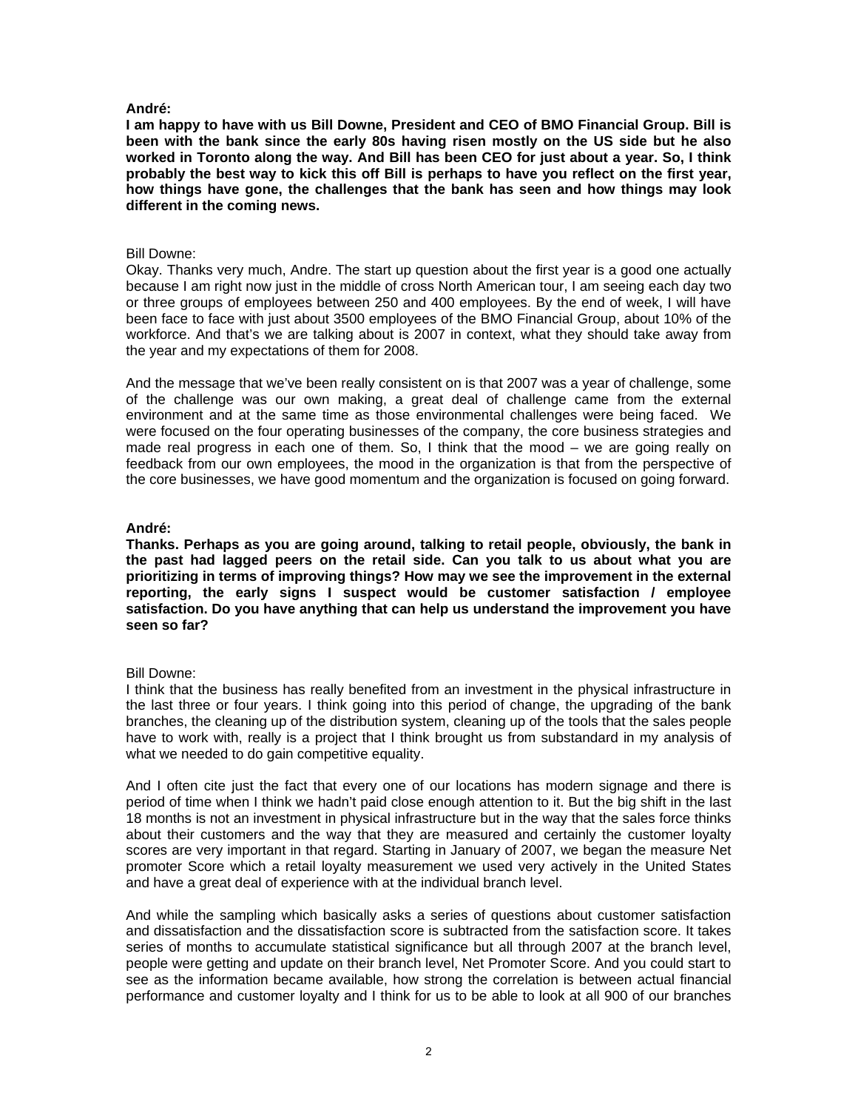**I am happy to have with us Bill Downe, President and CEO of BMO Financial Group. Bill is been with the bank since the early 80s having risen mostly on the US side but he also worked in Toronto along the way. And Bill has been CEO for just about a year. So, I think probably the best way to kick this off Bill is perhaps to have you reflect on the first year, how things have gone, the challenges that the bank has seen and how things may look different in the coming news.** 

### Bill Downe:

Okay. Thanks very much, Andre. The start up question about the first year is a good one actually because I am right now just in the middle of cross North American tour, I am seeing each day two or three groups of employees between 250 and 400 employees. By the end of week, I will have been face to face with just about 3500 employees of the BMO Financial Group, about 10% of the workforce. And that's we are talking about is 2007 in context, what they should take away from the year and my expectations of them for 2008.

And the message that we've been really consistent on is that 2007 was a year of challenge, some of the challenge was our own making, a great deal of challenge came from the external environment and at the same time as those environmental challenges were being faced. We were focused on the four operating businesses of the company, the core business strategies and made real progress in each one of them. So, I think that the mood – we are going really on feedback from our own employees, the mood in the organization is that from the perspective of the core businesses, we have good momentum and the organization is focused on going forward.

## **André:**

**Thanks. Perhaps as you are going around, talking to retail people, obviously, the bank in the past had lagged peers on the retail side. Can you talk to us about what you are prioritizing in terms of improving things? How may we see the improvement in the external reporting, the early signs I suspect would be customer satisfaction / employee satisfaction. Do you have anything that can help us understand the improvement you have seen so far?** 

## Bill Downe:

I think that the business has really benefited from an investment in the physical infrastructure in the last three or four years. I think going into this period of change, the upgrading of the bank branches, the cleaning up of the distribution system, cleaning up of the tools that the sales people have to work with, really is a project that I think brought us from substandard in my analysis of what we needed to do gain competitive equality.

And I often cite just the fact that every one of our locations has modern signage and there is period of time when I think we hadn't paid close enough attention to it. But the big shift in the last 18 months is not an investment in physical infrastructure but in the way that the sales force thinks about their customers and the way that they are measured and certainly the customer loyalty scores are very important in that regard. Starting in January of 2007, we began the measure Net promoter Score which a retail loyalty measurement we used very actively in the United States and have a great deal of experience with at the individual branch level.

And while the sampling which basically asks a series of questions about customer satisfaction and dissatisfaction and the dissatisfaction score is subtracted from the satisfaction score. It takes series of months to accumulate statistical significance but all through 2007 at the branch level. people were getting and update on their branch level, Net Promoter Score. And you could start to see as the information became available, how strong the correlation is between actual financial performance and customer loyalty and I think for us to be able to look at all 900 of our branches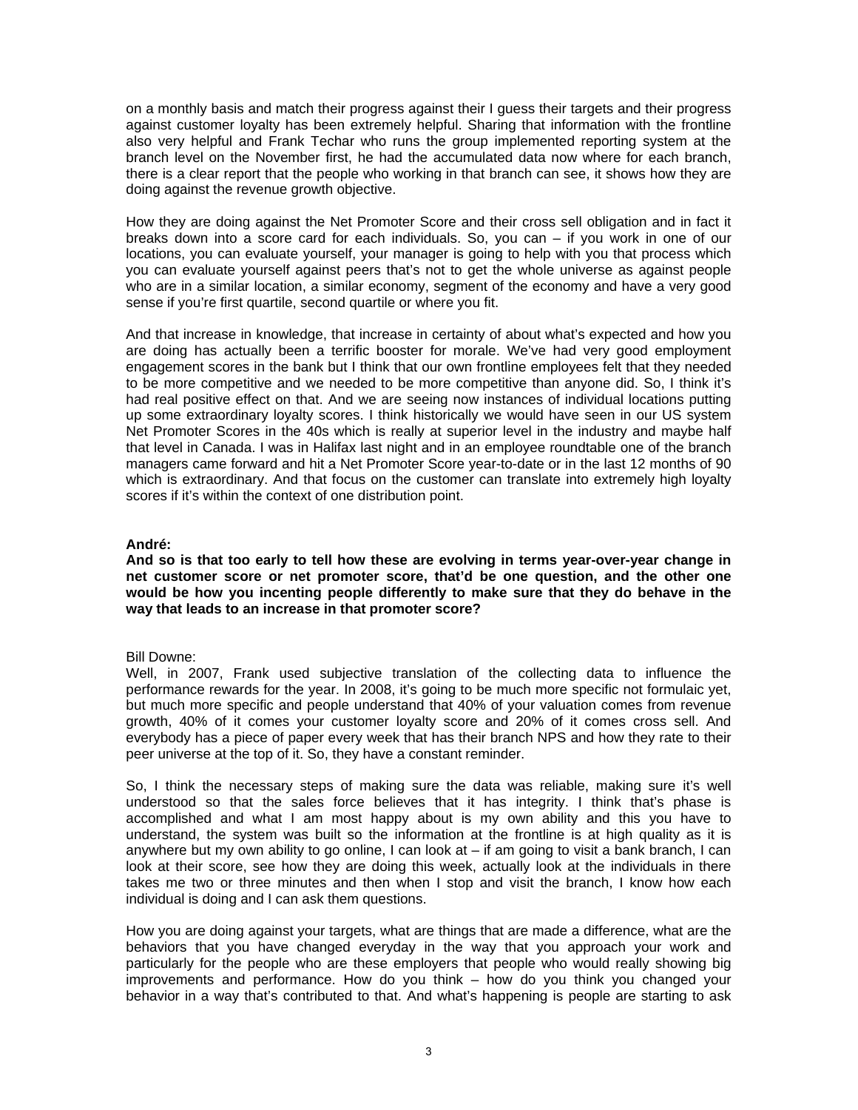on a monthly basis and match their progress against their I guess their targets and their progress against customer loyalty has been extremely helpful. Sharing that information with the frontline also very helpful and Frank Techar who runs the group implemented reporting system at the branch level on the November first, he had the accumulated data now where for each branch, there is a clear report that the people who working in that branch can see, it shows how they are doing against the revenue growth objective.

How they are doing against the Net Promoter Score and their cross sell obligation and in fact it breaks down into a score card for each individuals. So, you can – if you work in one of our locations, you can evaluate yourself, your manager is going to help with you that process which you can evaluate yourself against peers that's not to get the whole universe as against people who are in a similar location, a similar economy, segment of the economy and have a very good sense if you're first quartile, second quartile or where you fit.

And that increase in knowledge, that increase in certainty of about what's expected and how you are doing has actually been a terrific booster for morale. We've had very good employment engagement scores in the bank but I think that our own frontline employees felt that they needed to be more competitive and we needed to be more competitive than anyone did. So, I think it's had real positive effect on that. And we are seeing now instances of individual locations putting up some extraordinary loyalty scores. I think historically we would have seen in our US system Net Promoter Scores in the 40s which is really at superior level in the industry and maybe half that level in Canada. I was in Halifax last night and in an employee roundtable one of the branch managers came forward and hit a Net Promoter Score year-to-date or in the last 12 months of 90 which is extraordinary. And that focus on the customer can translate into extremely high loyalty scores if it's within the context of one distribution point.

### **André:**

**And so is that too early to tell how these are evolving in terms year-over-year change in net customer score or net promoter score, that'd be one question, and the other one would be how you incenting people differently to make sure that they do behave in the way that leads to an increase in that promoter score?** 

### Bill Downe:

Well, in 2007, Frank used subjective translation of the collecting data to influence the performance rewards for the year. In 2008, it's going to be much more specific not formulaic yet, but much more specific and people understand that 40% of your valuation comes from revenue growth, 40% of it comes your customer loyalty score and 20% of it comes cross sell. And everybody has a piece of paper every week that has their branch NPS and how they rate to their peer universe at the top of it. So, they have a constant reminder.

So, I think the necessary steps of making sure the data was reliable, making sure it's well understood so that the sales force believes that it has integrity. I think that's phase is accomplished and what I am most happy about is my own ability and this you have to understand, the system was built so the information at the frontline is at high quality as it is anywhere but my own ability to go online, I can look at – if am going to visit a bank branch, I can look at their score, see how they are doing this week, actually look at the individuals in there takes me two or three minutes and then when I stop and visit the branch, I know how each individual is doing and I can ask them questions.

How you are doing against your targets, what are things that are made a difference, what are the behaviors that you have changed everyday in the way that you approach your work and particularly for the people who are these employers that people who would really showing big improvements and performance. How do you think – how do you think you changed your behavior in a way that's contributed to that. And what's happening is people are starting to ask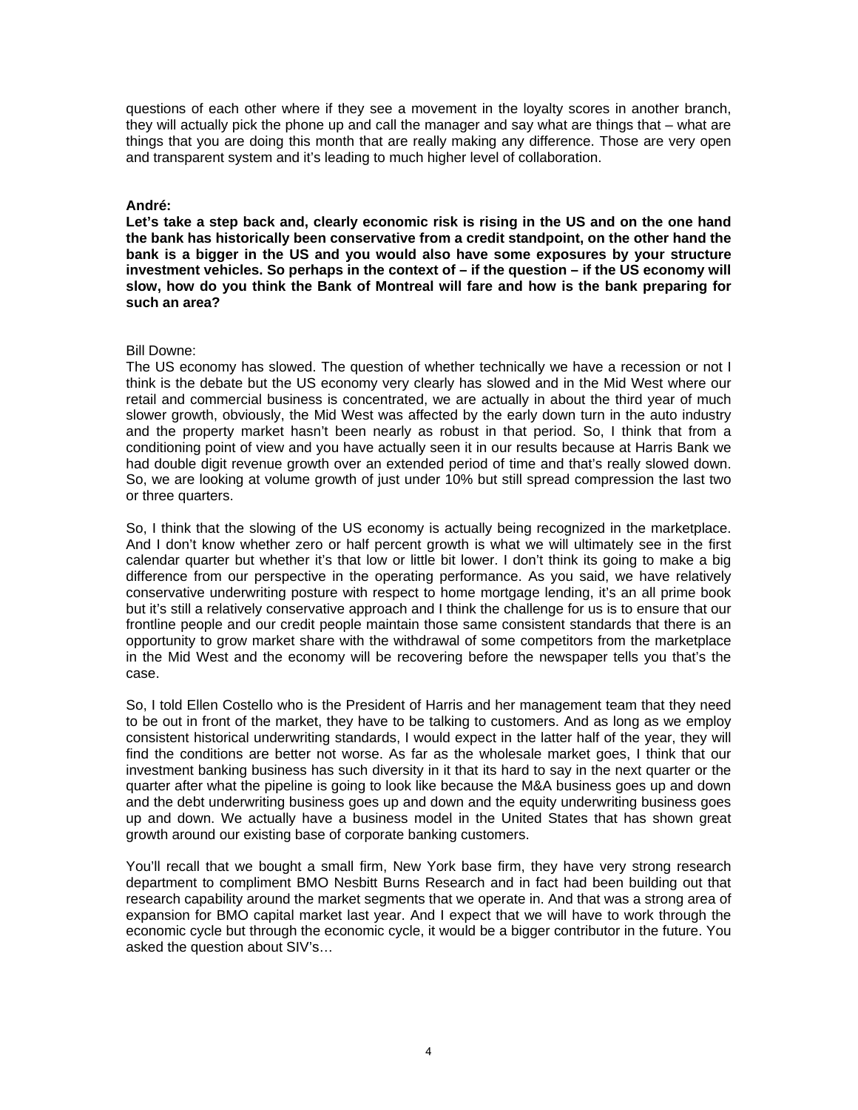questions of each other where if they see a movement in the loyalty scores in another branch, they will actually pick the phone up and call the manager and say what are things that – what are things that you are doing this month that are really making any difference. Those are very open and transparent system and it's leading to much higher level of collaboration.

### **André:**

**Let's take a step back and, clearly economic risk is rising in the US and on the one hand the bank has historically been conservative from a credit standpoint, on the other hand the bank is a bigger in the US and you would also have some exposures by your structure investment vehicles. So perhaps in the context of – if the question – if the US economy will slow, how do you think the Bank of Montreal will fare and how is the bank preparing for such an area?** 

### Bill Downe:

The US economy has slowed. The question of whether technically we have a recession or not I think is the debate but the US economy very clearly has slowed and in the Mid West where our retail and commercial business is concentrated, we are actually in about the third year of much slower growth, obviously, the Mid West was affected by the early down turn in the auto industry and the property market hasn't been nearly as robust in that period. So, I think that from a conditioning point of view and you have actually seen it in our results because at Harris Bank we had double digit revenue growth over an extended period of time and that's really slowed down. So, we are looking at volume growth of just under 10% but still spread compression the last two or three quarters.

So, I think that the slowing of the US economy is actually being recognized in the marketplace. And I don't know whether zero or half percent growth is what we will ultimately see in the first calendar quarter but whether it's that low or little bit lower. I don't think its going to make a big difference from our perspective in the operating performance. As you said, we have relatively conservative underwriting posture with respect to home mortgage lending, it's an all prime book but it's still a relatively conservative approach and I think the challenge for us is to ensure that our frontline people and our credit people maintain those same consistent standards that there is an opportunity to grow market share with the withdrawal of some competitors from the marketplace in the Mid West and the economy will be recovering before the newspaper tells you that's the case.

So, I told Ellen Costello who is the President of Harris and her management team that they need to be out in front of the market, they have to be talking to customers. And as long as we employ consistent historical underwriting standards, I would expect in the latter half of the year, they will find the conditions are better not worse. As far as the wholesale market goes, I think that our investment banking business has such diversity in it that its hard to say in the next quarter or the quarter after what the pipeline is going to look like because the M&A business goes up and down and the debt underwriting business goes up and down and the equity underwriting business goes up and down. We actually have a business model in the United States that has shown great growth around our existing base of corporate banking customers.

You'll recall that we bought a small firm, New York base firm, they have very strong research department to compliment BMO Nesbitt Burns Research and in fact had been building out that research capability around the market segments that we operate in. And that was a strong area of expansion for BMO capital market last year. And I expect that we will have to work through the economic cycle but through the economic cycle, it would be a bigger contributor in the future. You asked the question about SIV's…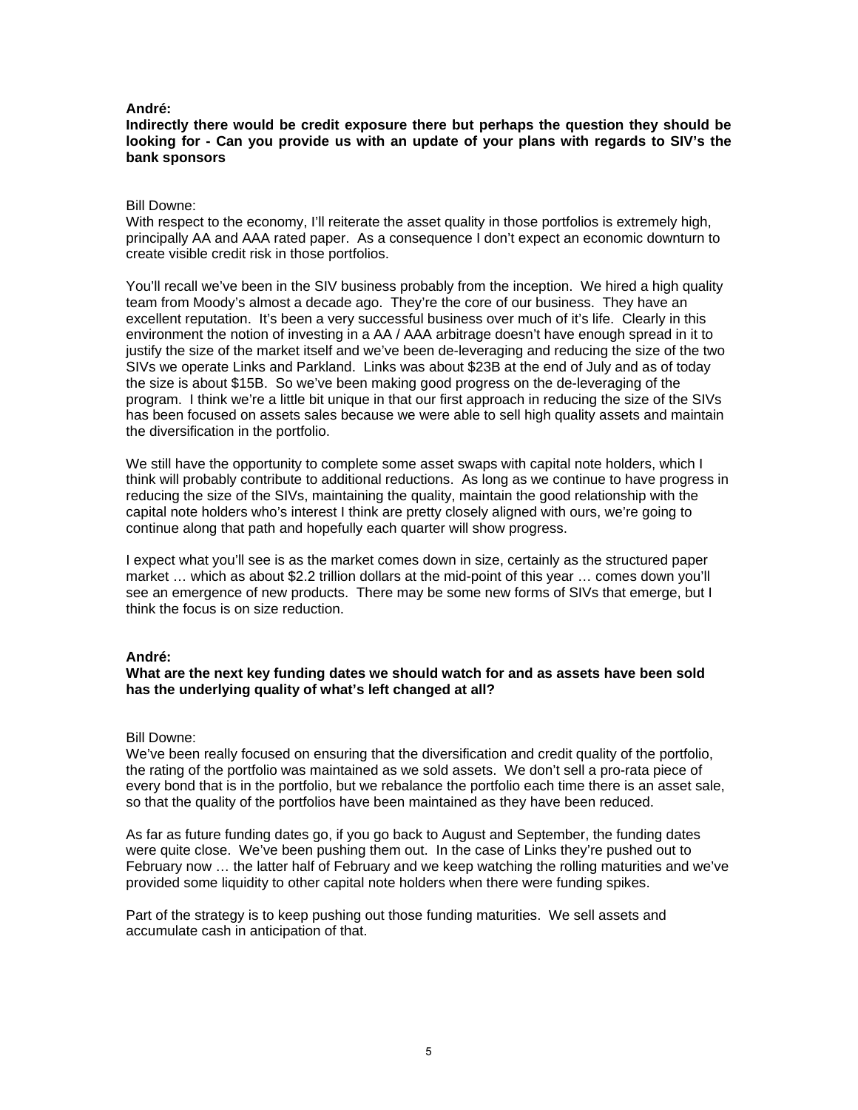#### **Indirectly there would be credit exposure there but perhaps the question they should be looking for - Can you provide us with an update of your plans with regards to SIV's the bank sponsors**

#### Bill Downe:

With respect to the economy, I'll reiterate the asset quality in those portfolios is extremely high, principally AA and AAA rated paper. As a consequence I don't expect an economic downturn to create visible credit risk in those portfolios.

You'll recall we've been in the SIV business probably from the inception. We hired a high quality team from Moody's almost a decade ago. They're the core of our business. They have an excellent reputation. It's been a very successful business over much of it's life. Clearly in this environment the notion of investing in a AA / AAA arbitrage doesn't have enough spread in it to justify the size of the market itself and we've been de-leveraging and reducing the size of the two SIVs we operate Links and Parkland. Links was about \$23B at the end of July and as of today the size is about \$15B. So we've been making good progress on the de-leveraging of the program. I think we're a little bit unique in that our first approach in reducing the size of the SIVs has been focused on assets sales because we were able to sell high quality assets and maintain the diversification in the portfolio.

We still have the opportunity to complete some asset swaps with capital note holders, which I think will probably contribute to additional reductions. As long as we continue to have progress in reducing the size of the SIVs, maintaining the quality, maintain the good relationship with the capital note holders who's interest I think are pretty closely aligned with ours, we're going to continue along that path and hopefully each quarter will show progress.

I expect what you'll see is as the market comes down in size, certainly as the structured paper market … which as about \$2.2 trillion dollars at the mid-point of this year … comes down you'll see an emergence of new products. There may be some new forms of SIVs that emerge, but I think the focus is on size reduction.

### **André:**

### **What are the next key funding dates we should watch for and as assets have been sold has the underlying quality of what's left changed at all?**

#### Bill Downe:

We've been really focused on ensuring that the diversification and credit quality of the portfolio, the rating of the portfolio was maintained as we sold assets. We don't sell a pro-rata piece of every bond that is in the portfolio, but we rebalance the portfolio each time there is an asset sale, so that the quality of the portfolios have been maintained as they have been reduced.

As far as future funding dates go, if you go back to August and September, the funding dates were quite close. We've been pushing them out. In the case of Links they're pushed out to February now … the latter half of February and we keep watching the rolling maturities and we've provided some liquidity to other capital note holders when there were funding spikes.

Part of the strategy is to keep pushing out those funding maturities. We sell assets and accumulate cash in anticipation of that.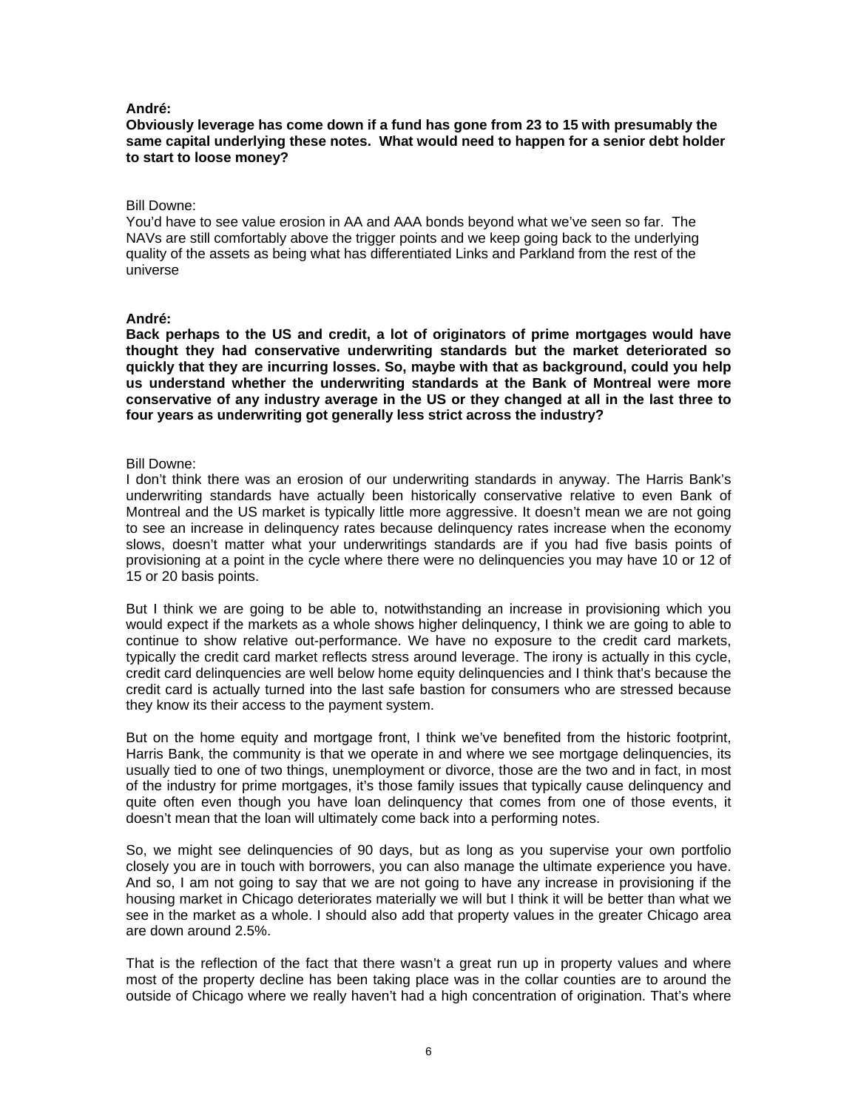#### **Obviously leverage has come down if a fund has gone from 23 to 15 with presumably the same capital underlying these notes. What would need to happen for a senior debt holder to start to loose money?**

#### Bill Downe:

You'd have to see value erosion in AA and AAA bonds beyond what we've seen so far. The NAVs are still comfortably above the trigger points and we keep going back to the underlying quality of the assets as being what has differentiated Links and Parkland from the rest of the universe

#### **André:**

**Back perhaps to the US and credit, a lot of originators of prime mortgages would have thought they had conservative underwriting standards but the market deteriorated so quickly that they are incurring losses. So, maybe with that as background, could you help us understand whether the underwriting standards at the Bank of Montreal were more conservative of any industry average in the US or they changed at all in the last three to four years as underwriting got generally less strict across the industry?** 

#### Bill Downe:

I don't think there was an erosion of our underwriting standards in anyway. The Harris Bank's underwriting standards have actually been historically conservative relative to even Bank of Montreal and the US market is typically little more aggressive. It doesn't mean we are not going to see an increase in delinquency rates because delinquency rates increase when the economy slows, doesn't matter what your underwritings standards are if you had five basis points of provisioning at a point in the cycle where there were no delinquencies you may have 10 or 12 of 15 or 20 basis points.

But I think we are going to be able to, notwithstanding an increase in provisioning which you would expect if the markets as a whole shows higher delinquency, I think we are going to able to continue to show relative out-performance. We have no exposure to the credit card markets, typically the credit card market reflects stress around leverage. The irony is actually in this cycle, credit card delinquencies are well below home equity delinquencies and I think that's because the credit card is actually turned into the last safe bastion for consumers who are stressed because they know its their access to the payment system.

But on the home equity and mortgage front, I think we've benefited from the historic footprint, Harris Bank, the community is that we operate in and where we see mortgage delinquencies, its usually tied to one of two things, unemployment or divorce, those are the two and in fact, in most of the industry for prime mortgages, it's those family issues that typically cause delinquency and quite often even though you have loan delinquency that comes from one of those events, it doesn't mean that the loan will ultimately come back into a performing notes.

So, we might see delinquencies of 90 days, but as long as you supervise your own portfolio closely you are in touch with borrowers, you can also manage the ultimate experience you have. And so, I am not going to say that we are not going to have any increase in provisioning if the housing market in Chicago deteriorates materially we will but I think it will be better than what we see in the market as a whole. I should also add that property values in the greater Chicago area are down around 2.5%.

That is the reflection of the fact that there wasn't a great run up in property values and where most of the property decline has been taking place was in the collar counties are to around the outside of Chicago where we really haven't had a high concentration of origination. That's where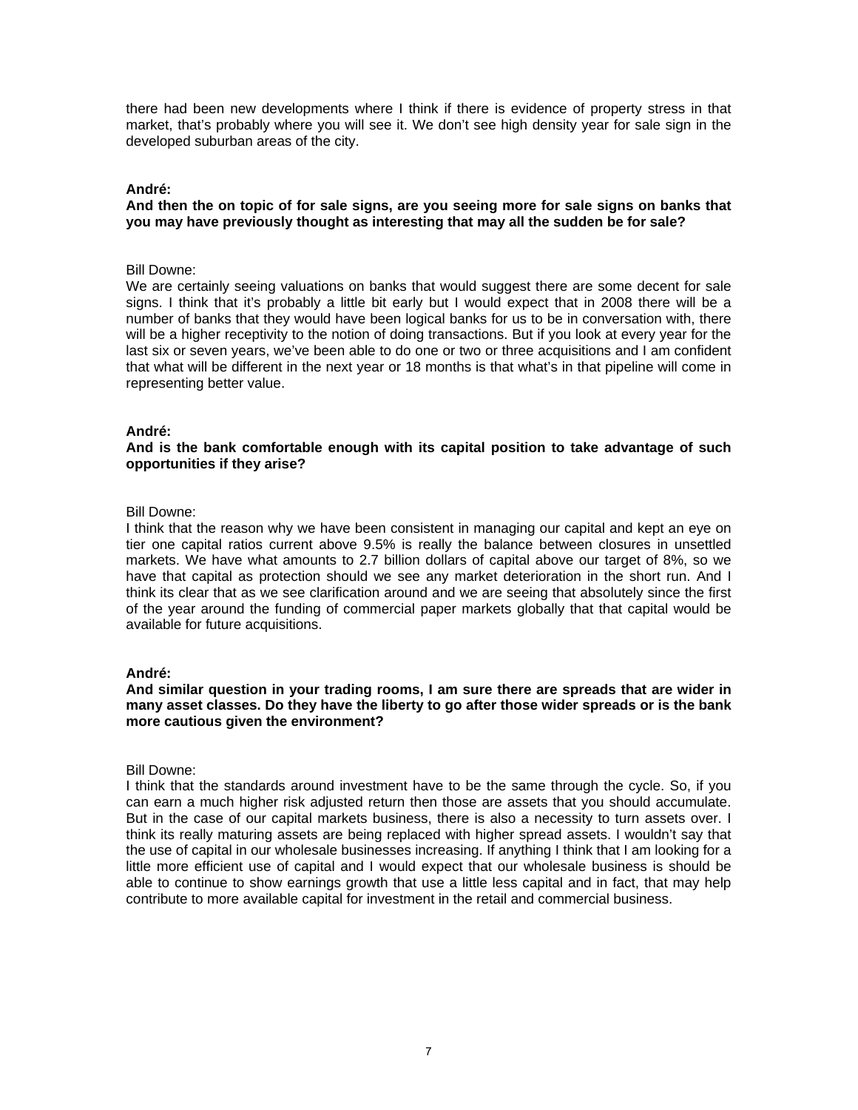there had been new developments where I think if there is evidence of property stress in that market, that's probably where you will see it. We don't see high density year for sale sign in the developed suburban areas of the city.

### **André:**

### **And then the on topic of for sale signs, are you seeing more for sale signs on banks that you may have previously thought as interesting that may all the sudden be for sale?**

### Bill Downe:

We are certainly seeing valuations on banks that would suggest there are some decent for sale signs. I think that it's probably a little bit early but I would expect that in 2008 there will be a number of banks that they would have been logical banks for us to be in conversation with, there will be a higher receptivity to the notion of doing transactions. But if you look at every year for the last six or seven years, we've been able to do one or two or three acquisitions and I am confident that what will be different in the next year or 18 months is that what's in that pipeline will come in representing better value.

### **André:**

### **And is the bank comfortable enough with its capital position to take advantage of such opportunities if they arise?**

### Bill Downe:

I think that the reason why we have been consistent in managing our capital and kept an eye on tier one capital ratios current above 9.5% is really the balance between closures in unsettled markets. We have what amounts to 2.7 billion dollars of capital above our target of 8%, so we have that capital as protection should we see any market deterioration in the short run. And I think its clear that as we see clarification around and we are seeing that absolutely since the first of the year around the funding of commercial paper markets globally that that capital would be available for future acquisitions.

### **André:**

### **And similar question in your trading rooms, I am sure there are spreads that are wider in many asset classes. Do they have the liberty to go after those wider spreads or is the bank more cautious given the environment?**

### Bill Downe:

I think that the standards around investment have to be the same through the cycle. So, if you can earn a much higher risk adjusted return then those are assets that you should accumulate. But in the case of our capital markets business, there is also a necessity to turn assets over. I think its really maturing assets are being replaced with higher spread assets. I wouldn't say that the use of capital in our wholesale businesses increasing. If anything I think that I am looking for a little more efficient use of capital and I would expect that our wholesale business is should be able to continue to show earnings growth that use a little less capital and in fact, that may help contribute to more available capital for investment in the retail and commercial business.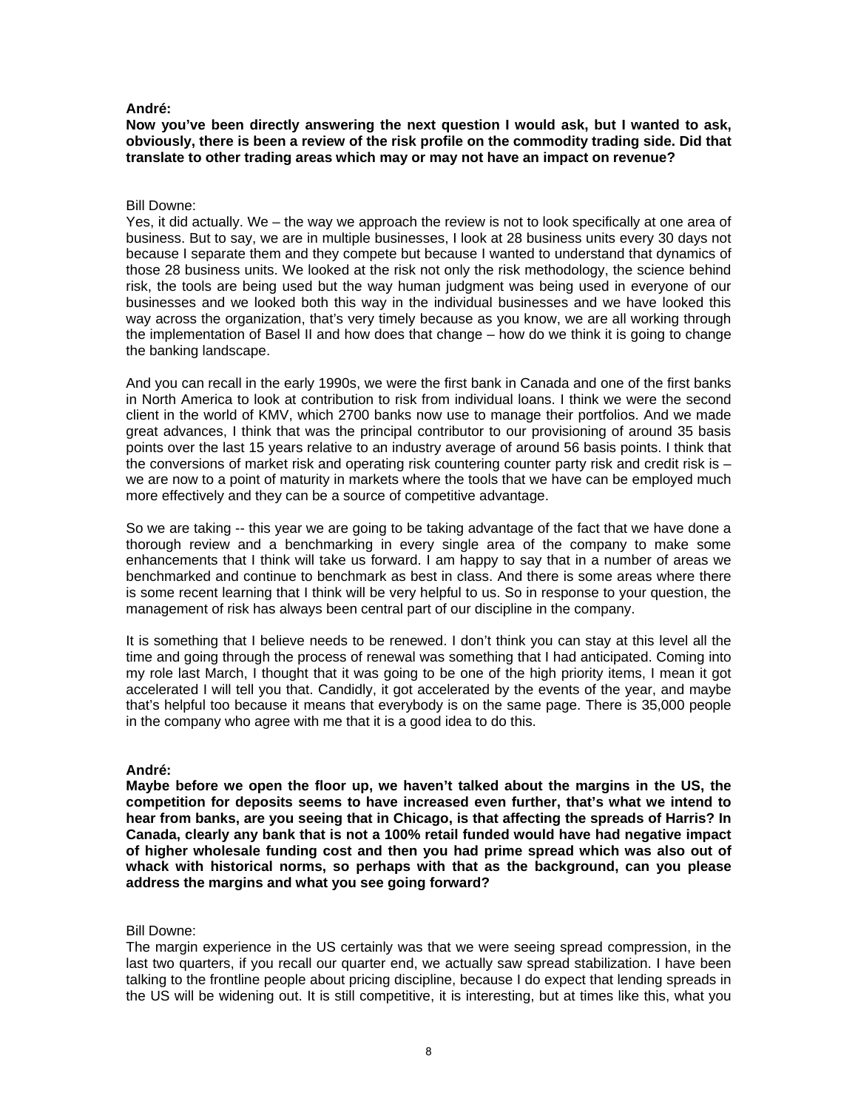**Now you've been directly answering the next question I would ask, but I wanted to ask, obviously, there is been a review of the risk profile on the commodity trading side. Did that translate to other trading areas which may or may not have an impact on revenue?** 

### Bill Downe:

Yes, it did actually. We – the way we approach the review is not to look specifically at one area of business. But to say, we are in multiple businesses, I look at 28 business units every 30 days not because I separate them and they compete but because I wanted to understand that dynamics of those 28 business units. We looked at the risk not only the risk methodology, the science behind risk, the tools are being used but the way human judgment was being used in everyone of our businesses and we looked both this way in the individual businesses and we have looked this way across the organization, that's very timely because as you know, we are all working through the implementation of Basel II and how does that change – how do we think it is going to change the banking landscape.

And you can recall in the early 1990s, we were the first bank in Canada and one of the first banks in North America to look at contribution to risk from individual loans. I think we were the second client in the world of KMV, which 2700 banks now use to manage their portfolios. And we made great advances, I think that was the principal contributor to our provisioning of around 35 basis points over the last 15 years relative to an industry average of around 56 basis points. I think that the conversions of market risk and operating risk countering counter party risk and credit risk is – we are now to a point of maturity in markets where the tools that we have can be employed much more effectively and they can be a source of competitive advantage.

So we are taking -- this year we are going to be taking advantage of the fact that we have done a thorough review and a benchmarking in every single area of the company to make some enhancements that I think will take us forward. I am happy to say that in a number of areas we benchmarked and continue to benchmark as best in class. And there is some areas where there is some recent learning that I think will be very helpful to us. So in response to your question, the management of risk has always been central part of our discipline in the company.

It is something that I believe needs to be renewed. I don't think you can stay at this level all the time and going through the process of renewal was something that I had anticipated. Coming into my role last March, I thought that it was going to be one of the high priority items, I mean it got accelerated I will tell you that. Candidly, it got accelerated by the events of the year, and maybe that's helpful too because it means that everybody is on the same page. There is 35,000 people in the company who agree with me that it is a good idea to do this.

### **André:**

**Maybe before we open the floor up, we haven't talked about the margins in the US, the competition for deposits seems to have increased even further, that's what we intend to hear from banks, are you seeing that in Chicago, is that affecting the spreads of Harris? In Canada, clearly any bank that is not a 100% retail funded would have had negative impact of higher wholesale funding cost and then you had prime spread which was also out of whack with historical norms, so perhaps with that as the background, can you please address the margins and what you see going forward?** 

### Bill Downe:

The margin experience in the US certainly was that we were seeing spread compression, in the last two quarters, if you recall our quarter end, we actually saw spread stabilization. I have been talking to the frontline people about pricing discipline, because I do expect that lending spreads in the US will be widening out. It is still competitive, it is interesting, but at times like this, what you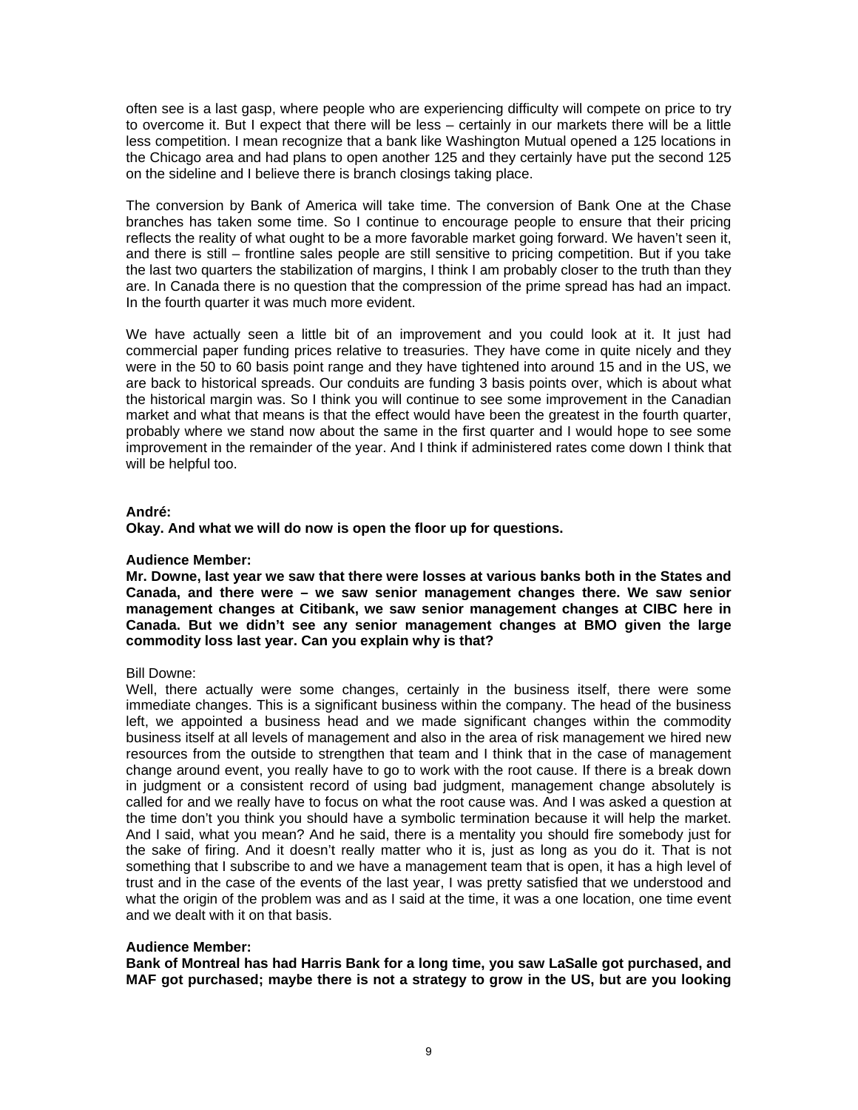often see is a last gasp, where people who are experiencing difficulty will compete on price to try to overcome it. But I expect that there will be less – certainly in our markets there will be a little less competition. I mean recognize that a bank like Washington Mutual opened a 125 locations in the Chicago area and had plans to open another 125 and they certainly have put the second 125 on the sideline and I believe there is branch closings taking place.

The conversion by Bank of America will take time. The conversion of Bank One at the Chase branches has taken some time. So I continue to encourage people to ensure that their pricing reflects the reality of what ought to be a more favorable market going forward. We haven't seen it, and there is still – frontline sales people are still sensitive to pricing competition. But if you take the last two quarters the stabilization of margins, I think I am probably closer to the truth than they are. In Canada there is no question that the compression of the prime spread has had an impact. In the fourth quarter it was much more evident.

We have actually seen a little bit of an improvement and you could look at it. It just had commercial paper funding prices relative to treasuries. They have come in quite nicely and they were in the 50 to 60 basis point range and they have tightened into around 15 and in the US, we are back to historical spreads. Our conduits are funding 3 basis points over, which is about what the historical margin was. So I think you will continue to see some improvement in the Canadian market and what that means is that the effect would have been the greatest in the fourth quarter, probably where we stand now about the same in the first quarter and I would hope to see some improvement in the remainder of the year. And I think if administered rates come down I think that will be helpful too.

### **André:**

**Okay. And what we will do now is open the floor up for questions.** 

### **Audience Member:**

**Mr. Downe, last year we saw that there were losses at various banks both in the States and Canada, and there were – we saw senior management changes there. We saw senior management changes at Citibank, we saw senior management changes at CIBC here in Canada. But we didn't see any senior management changes at BMO given the large commodity loss last year. Can you explain why is that?** 

## Bill Downe:

Well, there actually were some changes, certainly in the business itself, there were some immediate changes. This is a significant business within the company. The head of the business left, we appointed a business head and we made significant changes within the commodity business itself at all levels of management and also in the area of risk management we hired new resources from the outside to strengthen that team and I think that in the case of management change around event, you really have to go to work with the root cause. If there is a break down in judgment or a consistent record of using bad judgment, management change absolutely is called for and we really have to focus on what the root cause was. And I was asked a question at the time don't you think you should have a symbolic termination because it will help the market. And I said, what you mean? And he said, there is a mentality you should fire somebody just for the sake of firing. And it doesn't really matter who it is, just as long as you do it. That is not something that I subscribe to and we have a management team that is open, it has a high level of trust and in the case of the events of the last year, I was pretty satisfied that we understood and what the origin of the problem was and as I said at the time, it was a one location, one time event and we dealt with it on that basis.

### **Audience Member:**

**Bank of Montreal has had Harris Bank for a long time, you saw LaSalle got purchased, and MAF got purchased; maybe there is not a strategy to grow in the US, but are you looking**